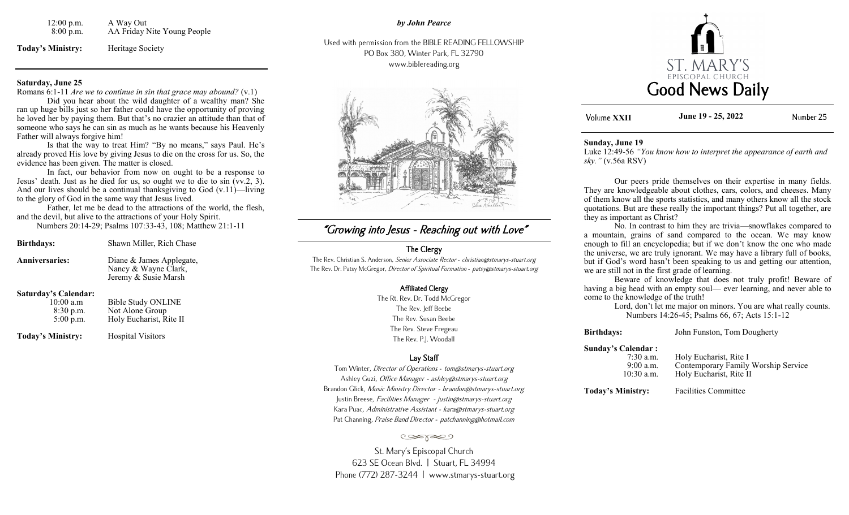| $12:00$ p.m. | A Way Out                   |
|--------------|-----------------------------|
| 8:00 p.m.    | AA Friday Nite Young People |

**Today's Ministry:** Heritage Society

#### **Saturday, June 25**

Romans 6:1-11 *Are we to continue in sin that grace may abound?* (v.1)

Did you hear about the wild daughter of a wealthy man? She ran up huge bills just so her father could have the opportunity of proving he loved her by paying them. But that's no crazier an attitude than that of someone who says he can sin as much as he wants because his Heavenly Father will always forgive him!

Is that the way to treat Him? "By no means," says Paul. He's already proved His love by giving Jesus to die on the cross for us. So, the evidence has been given. The matter is closed.

In fact, our behavior from now on ought to be a response to Jesus' death. Just as he died for us, so ought we to die to sin (vv.2, 3). And our lives should be a continual thanksgiving to God  $(v.11)$ —living to the glory of God in the same way that Jesus lived.

Father, let me be dead to the attractions of the world, the flesh, and the devil, but alive to the attractions of your Holy Spirit. Numbers 20:14-29; Psalms 107:33-43, 108; Matthew 21:1-11

| <b>Birthdays:</b>           | Shawn Miller, Rich Chase                                                 |
|-----------------------------|--------------------------------------------------------------------------|
| <b>Anniversaries:</b>       | Diane & James Applegate,<br>Nancy & Wayne Clark,<br>Jeremy & Susie Marsh |
| <b>Saturday's Calendar:</b> |                                                                          |

| $10:00$ a.m | <b>Bible Study ONLINE</b> |
|-------------|---------------------------|
| 8:30 p.m.   | Not Alone Group           |
| $5:00$ p.m. | Holy Eucharist, Rite II   |
|             |                           |

**Today's Ministry:** Hospital Visitors

# "Growing into Jesus - Reaching out with Love"

# The Clergy

The Rev. Christian S. Anderson, Senior Associate Rector - christian@stmarys-stuart.org The Rev. Dr. Patsy McGregor, Director of Spiritual Formation - patsy@stmarys-stuart.org

#### Affiliated Clergy

The Rt. Rev. Dr. Todd McGregor The Rev. Jeff Beebe The Rev. Susan Beebe The Rev. Steve Fregeau The Rev. P.J. Woodall

## Lay Staff

Tom Winter, Director of Operations - tom@stmarys-stuart.org Ashley Guzi, Office Manager - ashley@stmarys-stuart.org Brandon Glick, Music Ministry Director - brandon@stmarys-stuart.org Justin Breese, Facilities Manager - justin@stmarys-stuart.org Kara Puac, Administrative Assistant - kara@stmarys-stuart.org Pat Channing, Praise Band Director - patchanning@hotmail.com

#### تعجون

St. Mary's Episcopal Church 623 SE Ocean Blvd. | Stuart, FL 34994 Phone (772) 287-3244 | www.stmarys-stuart.org



**Volume XXII June 19 - 25, 2022** Number 25

#### **Sunday, June 19**

Luke 12:49-56 *"You know how to interpret the appearance of earth and sky."* (v.56a RSV)

Our peers pride themselves on their expertise in many fields. They are knowledgeable about clothes, cars, colors, and cheeses. Many of them know all the sports statistics, and many others know all the stock quotations. But are these really the important things? Put all together, are they as important as Christ?

No. In contrast to him they are trivia—snowflakes compared to a mountain, grains of sand compared to the ocean. We may know enough to fill an encyclopedia; but if we don't know the one who made the universe, we are truly ignorant. We may have a library full of books, but if God's word hasn't been speaking to us and getting our attention, we are still not in the first grade of learning.

Beware of knowledge that does not truly profit! Beware of having a big head with an empty soul— ever learning, and never able to come to the knowledge of the truth!

Lord, don't let me major on minors. You are what really counts. Numbers 14:26-45; Psalms 66, 67; Acts 15:1-12

**Birthdays:** John Funston, Tom Dougherty

#### **Sunday's Calendar :**

7:30 a.m. Holy Eucharist, Rite I<br>9:00 a.m. Contemporary Family 9:00 a.m. Contemporary Family Worship Service<br>10:30 a.m. Holy Eucharist. Rite II Holy Eucharist, Rite II

**Today's Ministry:** Facilities Committee

*by John Pearce*

Used with permission from the BIBLE READING FELLOWSHIP PO Box 380, Winter Park, FL 32790 www.biblereading.org